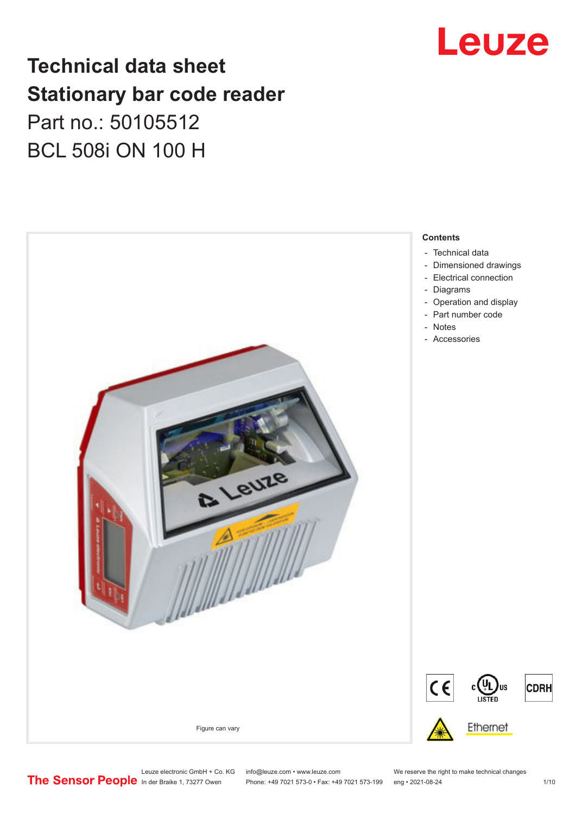# Leuze

## **Technical data sheet Stationary bar code reader** Part no.: 50105512 BCL 508i ON 100 H

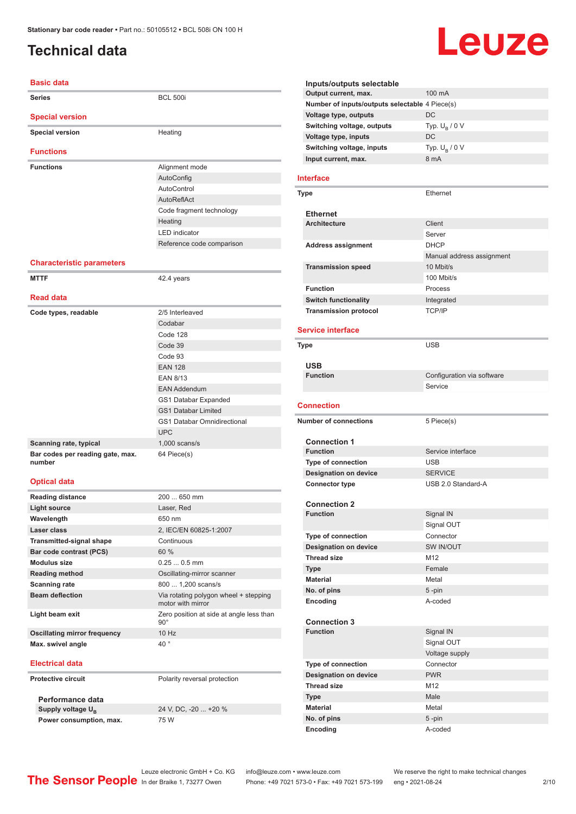## <span id="page-1-0"></span>**Technical data**

### **Basic data**

| <b>Series</b>                              | <b>BCL 500i</b>                    |
|--------------------------------------------|------------------------------------|
| <b>Special version</b>                     |                                    |
| <b>Special version</b>                     | Heating                            |
| <b>Functions</b>                           |                                    |
| <b>Functions</b>                           | Alignment mode                     |
|                                            |                                    |
|                                            | AutoConfig<br>AutoControl          |
|                                            | AutoReflAct                        |
|                                            |                                    |
|                                            | Code fragment technology           |
|                                            | Heating<br><b>LED</b> indicator    |
|                                            |                                    |
|                                            | Reference code comparison          |
| <b>Characteristic parameters</b>           |                                    |
| <b>MTTF</b>                                | 42.4 years                         |
| <b>Read data</b>                           |                                    |
| Code types, readable                       | 2/5 Interleaved                    |
|                                            | Codabar                            |
|                                            | Code 128                           |
|                                            | Code 39                            |
|                                            | Code 93                            |
|                                            | <b>EAN 128</b>                     |
|                                            | <b>EAN 8/13</b>                    |
|                                            | <b>EAN Addendum</b>                |
|                                            | <b>GS1 Databar Expanded</b>        |
|                                            | <b>GS1 Databar Limited</b>         |
|                                            | <b>GS1 Databar Omnidirectional</b> |
|                                            | <b>UPC</b>                         |
| Scanning rate, typical                     | $1,000$ scans/s                    |
| Bar codes per reading gate, max.<br>number | 64 Piece(s)                        |
| <b>Optical data</b>                        |                                    |
| <b>Reading distance</b>                    | 200  650 mm                        |
| <b>Light source</b>                        | Laser, Red                         |
| Wavelength                                 | 650 nm                             |
| Laser class                                | 2, IEC/EN 60825-1:2007             |
| <b>Transmitted-signal shape</b>            | Continuous                         |
| Bar code contrast (PCS)                    | 60 %                               |
| Modulus sizo                               | $0.250$ $0.5$ mm                   |

#### **Modulus size** 0.25 ... 0.5 mm **Reading method Case Constanting Manual Constanting-mirror scanner Scanning rate** 800 ... 1,200 scans/s **Beam deflection** Via rotating polygon wheel + stepping motor with mirror **Light beam exit Light beam exist Zero position at side at angle less than** 90° **Oscillating mirror frequency** 10 Hz **Max. swivel angle** 40 ° **Electrical data Protective circuit** Polarity reversal protection

**Performance data** Supply voltage  $U_B$ **Power consumption, max.** 75 W

24 V, DC, -20 ... +20 %

#### **Inputs/outputs selectable Output current, max.** 100 mA **Number of inputs/outputs selectable** 4 Piece(s) **Voltage type, outputs** DC **Switching voltage, outputs** Typ.<br>Voltage type, inputs DC Typ.  $U_B / 0 V$ **Voltage type, inputs Switching voltage, inputs** Typ. Unit Unit Contract Type Unit Contract Type Unit Contract Type Unit Contract Type U Typ.  $U_B / 0 V$ **Input current, max.**

Leuze

#### **Interface**

| Type                         | Ethernet                  |
|------------------------------|---------------------------|
| <b>Ethernet</b>              |                           |
| <b>Architecture</b>          | Client                    |
|                              | Server                    |
| <b>Address assignment</b>    | <b>DHCP</b>               |
|                              | Manual address assignment |
| <b>Transmission speed</b>    | 10 Mbit/s                 |
|                              | 100 Mbit/s                |
| <b>Function</b>              | Process                   |
| <b>Switch functionality</b>  | Integrated                |
| <b>Transmission protocol</b> | <b>TCP/IP</b>             |

#### **Service interface**

| <b>Type</b>                            | <b>USB</b>                 |
|----------------------------------------|----------------------------|
|                                        |                            |
| <b>USB</b><br><b>Function</b>          | Configuration via software |
|                                        | Service                    |
|                                        |                            |
| <b>Connection</b>                      |                            |
| <b>Number of connections</b>           | 5 Piece(s)                 |
| <b>Connection 1</b>                    |                            |
| <b>Function</b>                        | Service interface          |
| <b>Type of connection</b>              | <b>USB</b>                 |
| <b>Designation on device</b>           | <b>SERVICE</b>             |
| <b>Connector type</b>                  | USB 2.0 Standard-A         |
|                                        |                            |
| <b>Connection 2</b>                    |                            |
| <b>Function</b>                        | Signal IN                  |
|                                        | Signal OUT                 |
| <b>Type of connection</b>              | Connector                  |
| <b>Designation on device</b>           | SW IN/OUT                  |
| <b>Thread size</b>                     | M <sub>12</sub>            |
| <b>Type</b>                            | Female                     |
| <b>Material</b>                        | Metal                      |
| No. of pins                            | 5-pin                      |
| Encoding                               | A-coded                    |
|                                        |                            |
| <b>Connection 3</b><br><b>Function</b> |                            |
|                                        | Signal IN                  |
|                                        | Signal OUT                 |
|                                        | Voltage supply             |
| Type of connection                     | Connector<br><b>PWR</b>    |
| <b>Designation on device</b>           |                            |
| <b>Thread size</b>                     | M <sub>12</sub>            |
| <b>Type</b>                            | Male                       |
| <b>Material</b>                        | Metal                      |
| No. of pins                            | 5-pin                      |
| Encoding                               | A-coded                    |

Leuze electronic GmbH + Co. KG info@leuze.com • www.leuze.com We reserve the right to make technical changes<br>
The Sensor People in der Braike 1, 73277 Owen Phone: +49 7021 573-0 • Fax: +49 7021 573-199 eng • 2021-08-24

Phone: +49 7021 573-0 • Fax: +49 7021 573-199 eng • 2021-08-24 2/10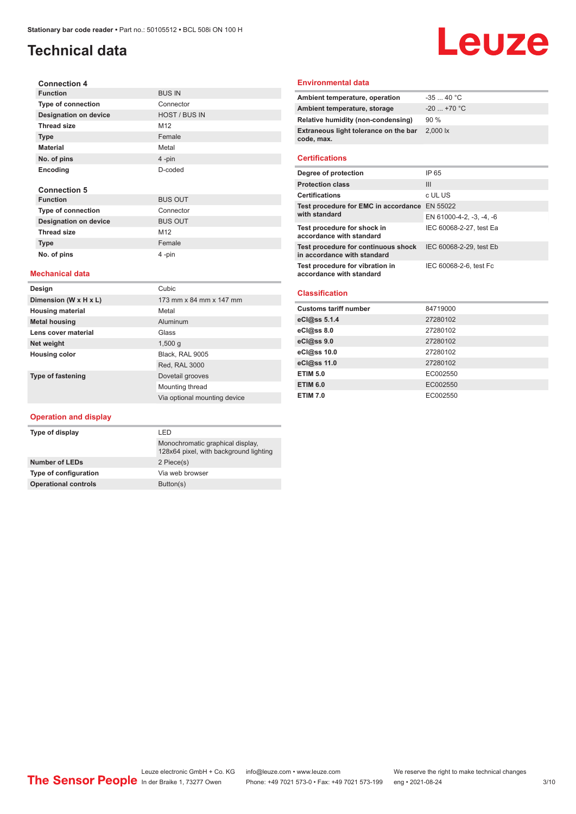## **Technical data**

#### **Connection 4 Function** BUS IN **Type of connection Designation on device HOST / BUS IN Thread size** M12 **Type** Female **Material** Metal **No. of pins** 4 -pin **Encoding** D-coded **Connection 5 Function** BUS OUT

| .                            | ----            |
|------------------------------|-----------------|
| <b>Type of connection</b>    | Connector       |
| <b>Designation on device</b> | <b>BUS OUT</b>  |
| <b>Thread size</b>           | M <sub>12</sub> |
| <b>Type</b>                  | Female          |
| No. of pins                  | 4-pin           |
|                              |                 |

#### **Mechanical data**

| Design                   | Cubic                        |
|--------------------------|------------------------------|
| Dimension (W x H x L)    | 173 mm x 84 mm x 147 mm      |
| <b>Housing material</b>  | Metal                        |
| <b>Metal housing</b>     | Aluminum                     |
| Lens cover material      | Glass                        |
| Net weight               | 1,500q                       |
| Housing color            | Black, RAL 9005              |
|                          | <b>Red, RAL 3000</b>         |
| <b>Type of fastening</b> | Dovetail grooves             |
|                          | Mounting thread              |
|                          | Via optional mounting device |

#### **Operation and display**

| Type of display             | I FD                                                                       |
|-----------------------------|----------------------------------------------------------------------------|
|                             | Monochromatic graphical display,<br>128x64 pixel, with background lighting |
| <b>Number of LEDs</b>       | 2 Piece(s)                                                                 |
| Type of configuration       | Via web browser                                                            |
| <b>Operational controls</b> | Button(s)                                                                  |

#### **Environmental data**

| Ambient temperature, operation                      | $-3540 °C$   |
|-----------------------------------------------------|--------------|
| Ambient temperature, storage                        | $-20$ +70 °C |
| Relative humidity (non-condensing)                  | 90%          |
| Extraneous light tolerance on the bar<br>code, max. | 2,000 lx     |
|                                                     |              |

Leuze

#### **Certifications**

| Degree of protection                                               | IP 65                    |
|--------------------------------------------------------------------|--------------------------|
| <b>Protection class</b>                                            | Ш                        |
| <b>Certifications</b>                                              | c UL US                  |
| Test procedure for EMC in accordance EN 55022<br>with standard     |                          |
|                                                                    | EN 61000-4-2, -3, -4, -6 |
| Test procedure for shock in<br>accordance with standard            | IEC 60068-2-27, test Ea  |
| Test procedure for continuous shock<br>in accordance with standard | IEC 60068-2-29, test Eb  |
| Test procedure for vibration in<br>accordance with standard        | IEC 60068-2-6, test Fc   |

#### **Classification**

| <b>Customs tariff number</b> | 84719000 |
|------------------------------|----------|
| eCl@ss 5.1.4                 | 27280102 |
| eCl@ss 8.0                   | 27280102 |
| eCl@ss 9.0                   | 27280102 |
| eCl@ss 10.0                  | 27280102 |
| eCl@ss 11.0                  | 27280102 |
| <b>ETIM 5.0</b>              | EC002550 |
| <b>ETIM 6.0</b>              | EC002550 |
| <b>ETIM 7.0</b>              | EC002550 |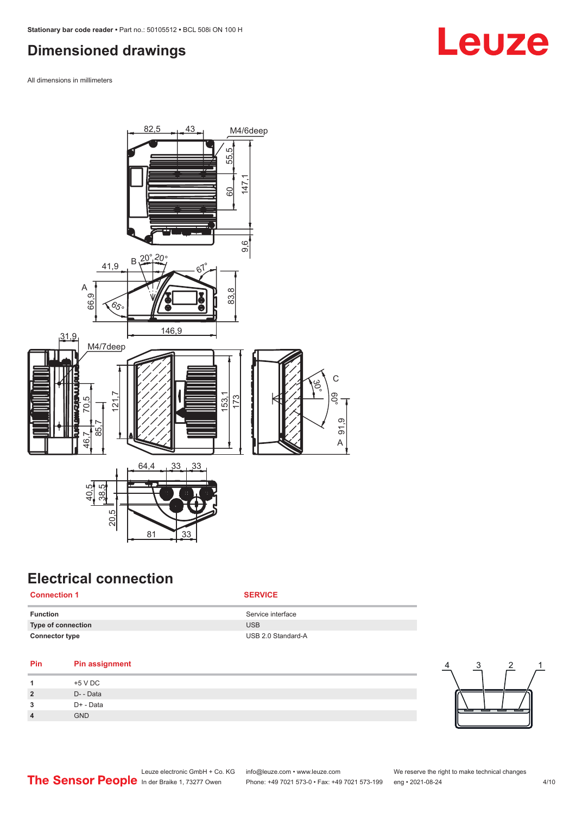## <span id="page-3-0"></span>**Dimensioned drawings**

All dimensions in millimeters



## **Electrical connection**

#### **Connection 1 SERVICE**

| Function              | Service interface  |
|-----------------------|--------------------|
| Type of connection    | <b>USB</b>         |
| <b>Connector type</b> | USB 2.0 Standard-A |

#### **Pin Pin assignment**

|                | +5 V DC    |
|----------------|------------|
| $\overline{2}$ | D- - Data  |
| 3              | D+ - Data  |
| $\overline{4}$ | <b>GND</b> |



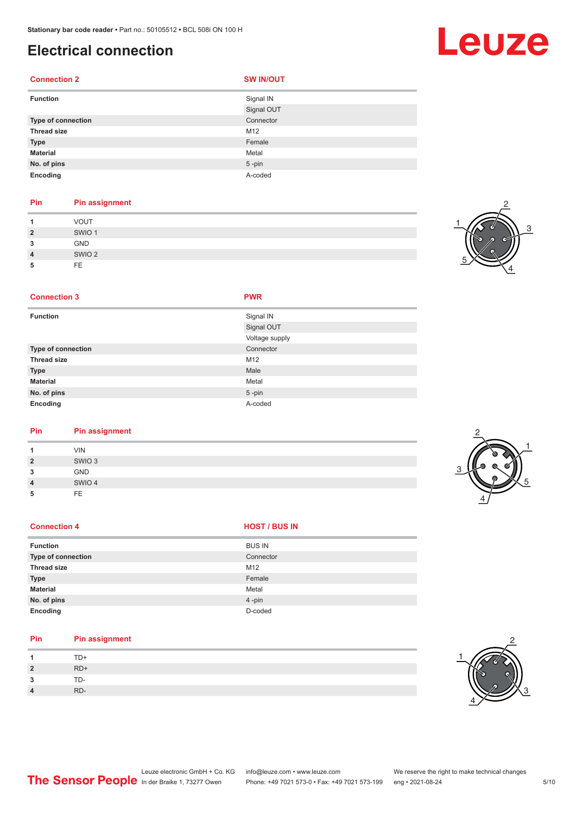## **Electrical connection**

#### **Connection 2 SW IN/OUT**

| <b>Function</b>    | Signal IN  |
|--------------------|------------|
|                    | Signal OUT |
| Type of connection | Connector  |
| <b>Thread size</b> | M12        |
| <b>Type</b>        | Female     |
| <b>Material</b>    | Metal      |
| No. of pins        | $5$ -pin   |
| Encoding           | A-coded    |

#### **Pin Pin assignment**

|                | <b>VOUT</b>       |
|----------------|-------------------|
| $\overline{2}$ | SWIO <sub>1</sub> |
| 3              | <b>GND</b>        |
| $\overline{4}$ | SWIO <sub>2</sub> |
| 5              | <b>FE</b>         |



#### **Connection 3 PWR**

| <b>Function</b>    | Signal IN      |
|--------------------|----------------|
|                    | Signal OUT     |
|                    | Voltage supply |
| Type of connection | Connector      |
| <b>Thread size</b> | M12            |
| <b>Type</b>        | Male           |
| <b>Material</b>    | Metal          |
| No. of pins        | $5$ -pin       |
| Encoding           | A-coded        |

#### **Pin Pin assignment**

| <b>VIN</b><br>SWIO <sub>3</sub><br>$\overline{2}$<br>GND<br>3<br>SWIO 4<br>4<br>FE<br>5 |  |  |
|-----------------------------------------------------------------------------------------|--|--|
|                                                                                         |  |  |
|                                                                                         |  |  |
|                                                                                         |  |  |
|                                                                                         |  |  |
|                                                                                         |  |  |

#### **Connection 4 HOST** / BUS IN

| <b>Function</b>           | <b>BUS IN</b> |
|---------------------------|---------------|
| <b>Type of connection</b> | Connector     |
| <b>Thread size</b>        | M12           |
| <b>Type</b>               | Female        |
| <b>Material</b>           | Metal         |
| No. of pins               | 4-pin         |
| Encoding                  | D-coded       |

#### **Pin Pin assignment**

| $\boldsymbol{A}$     | TD+   |
|----------------------|-------|
| $\overline{2}$       | $RD+$ |
| $\overline{ }$<br>ر. | TD-   |
| $\overline{4}$       | RD-   |



## Leuze

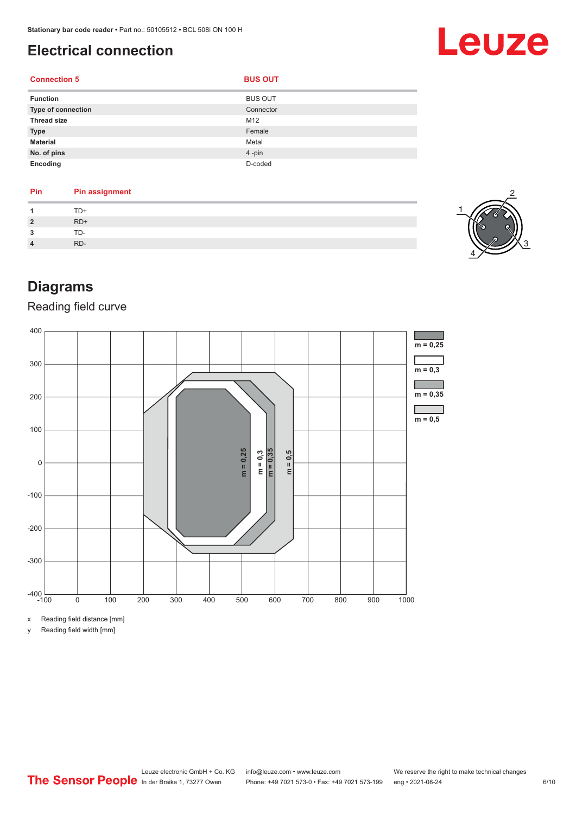## <span id="page-5-0"></span>**Electrical connection**

#### **Connection 5 BUS OUT**

| <b>Function</b>           | <b>BUS OUT</b> |
|---------------------------|----------------|
| <b>Type of connection</b> | Connector      |
| <b>Thread size</b>        | M12            |
| <b>Type</b>               | Female         |
| <b>Material</b>           | Metal          |
| No. of pins               | 4-pin          |
| Encoding                  | D-coded        |

#### **Pin Pin assignment 1** TD+ **2** RD+ **3** TD-**4** RD-



Leuze

## **Diagrams**

### Reading field curve



x Reading field distance [mm]

y Reading field width [mm]

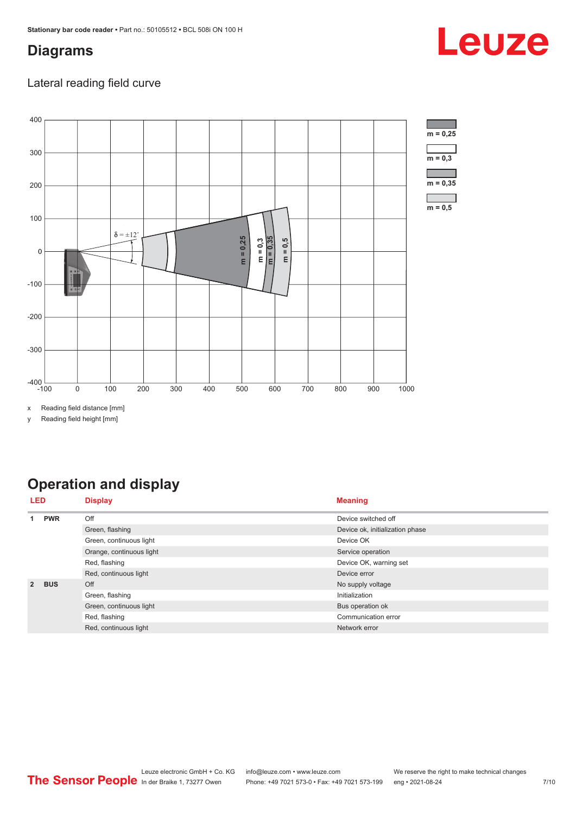## <span id="page-6-0"></span>**Diagrams**

### Lateral reading field curve



x Reading field distance [mm]

y Reading field height [mm]

## **Operation and display**

| LED         |            | <b>Display</b>           | <b>Meaning</b>                  |
|-------------|------------|--------------------------|---------------------------------|
| <b>PWR</b>  | Off        | Device switched off      |                                 |
|             |            | Green, flashing          | Device ok, initialization phase |
|             |            | Green, continuous light  | Device OK                       |
|             |            | Orange, continuous light | Service operation               |
|             |            | Red, flashing            | Device OK, warning set          |
|             |            | Red, continuous light    | Device error                    |
| $2^{\circ}$ | <b>BUS</b> | Off                      | No supply voltage               |
|             |            | Green, flashing          | Initialization                  |
|             |            | Green, continuous light  | Bus operation ok                |
|             |            | Red, flashing            | Communication error             |
|             |            | Red, continuous light    | Network error                   |

## Leuze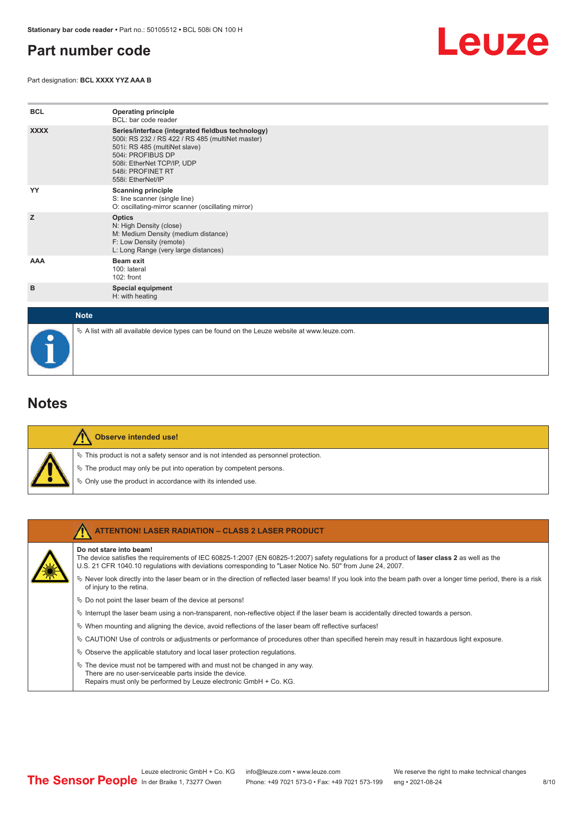## <span id="page-7-0"></span>**Part number code**

Part designation: **BCL XXXX YYZ AAA B**



| <b>BCL</b>  | <b>Operating principle</b><br>BCL: bar code reader                                                                                                                                                                                  |
|-------------|-------------------------------------------------------------------------------------------------------------------------------------------------------------------------------------------------------------------------------------|
| <b>XXXX</b> | Series/interface (integrated fieldbus technology)<br>500i: RS 232 / RS 422 / RS 485 (multiNet master)<br>501i: RS 485 (multiNet slave)<br>504i: PROFIBUS DP<br>508i: EtherNet TCP/IP, UDP<br>548i: PROFINET RT<br>558i: EtherNet/IP |
| YY          | <b>Scanning principle</b><br>S: line scanner (single line)<br>O: oscillating-mirror scanner (oscillating mirror)                                                                                                                    |
| z           | <b>Optics</b><br>N: High Density (close)<br>M: Medium Density (medium distance)<br>F: Low Density (remote)<br>L: Long Range (very large distances)                                                                                  |
| <b>AAA</b>  | Beam exit<br>100: lateral<br>102: front                                                                                                                                                                                             |
| в           | <b>Special equipment</b><br>H: with heating                                                                                                                                                                                         |
| <b>Note</b> |                                                                                                                                                                                                                                     |

 $\%$  A list with all available device types can be found on the Leuze website at www.leuze.com.

### **Notes**

|  | Observe intended use!                                                                 |
|--|---------------------------------------------------------------------------------------|
|  | $\%$ This product is not a safety sensor and is not intended as personnel protection. |
|  | $\%$ The product may only be put into operation by competent persons.                 |
|  | ♦ Only use the product in accordance with its intended use.                           |

| <b>ATTENTION! LASER RADIATION - CLASS 2 LASER PRODUCT</b>                                                                                                                                                                                                                             |
|---------------------------------------------------------------------------------------------------------------------------------------------------------------------------------------------------------------------------------------------------------------------------------------|
| Do not stare into beam!<br>The device satisfies the requirements of IEC 60825-1:2007 (EN 60825-1:2007) safety requlations for a product of laser class 2 as well as the<br>U.S. 21 CFR 1040.10 regulations with deviations corresponding to "Laser Notice No. 50" from June 24, 2007. |
| Never look directly into the laser beam or in the direction of reflected laser beams! If you look into the beam path over a longer time period, there is a risk<br>of injury to the retina.                                                                                           |
| $\%$ Do not point the laser beam of the device at persons!                                                                                                                                                                                                                            |
| $\%$ Interrupt the laser beam using a non-transparent, non-reflective object if the laser beam is accidentally directed towards a person.                                                                                                                                             |
| $\%$ When mounting and aligning the device, avoid reflections of the laser beam off reflective surfaces!                                                                                                                                                                              |
| $\&$ CAUTION! Use of controls or adjustments or performance of procedures other than specified herein may result in hazardous light exposure.                                                                                                                                         |
| $\&$ Observe the applicable statutory and local laser protection regulations.                                                                                                                                                                                                         |
| $\ddot{\phi}$ The device must not be tampered with and must not be changed in any way.<br>There are no user-serviceable parts inside the device.<br>Repairs must only be performed by Leuze electronic GmbH + Co. KG.                                                                 |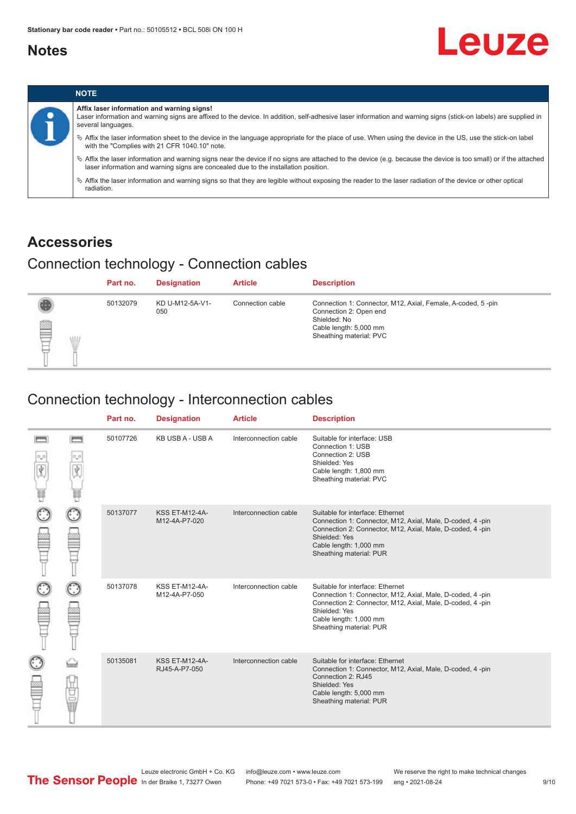## <span id="page-8-0"></span>**Notes**





## **Accessories**

## Connection technology - Connection cables

|        | Part no. | <b>Designation</b>     | <b>Article</b>   | <b>Description</b>                                                                                                                                         |
|--------|----------|------------------------|------------------|------------------------------------------------------------------------------------------------------------------------------------------------------------|
| ₿<br>W | 50132079 | KD U-M12-5A-V1-<br>050 | Connection cable | Connection 1: Connector, M12, Axial, Female, A-coded, 5-pin<br>Connection 2: Open end<br>Shielded: No<br>Cable length: 5,000 mm<br>Sheathing material: PVC |

### Connection technology - Interconnection cables

|   |              | Part no. | <b>Designation</b>                     | <b>Article</b>        | <b>Description</b>                                                                                                                                                                                                               |
|---|--------------|----------|----------------------------------------|-----------------------|----------------------------------------------------------------------------------------------------------------------------------------------------------------------------------------------------------------------------------|
| Ý | <b>books</b> | 50107726 | KB USB A - USB A                       | Interconnection cable | Suitable for interface: USB<br>Connection 1: USB<br>Connection 2: USB<br>Shielded: Yes<br>Cable length: 1,800 mm<br>Sheathing material: PVC                                                                                      |
|   |              | 50137077 | <b>KSS ET-M12-4A-</b><br>M12-4A-P7-020 | Interconnection cable | Suitable for interface: Ethernet<br>Connection 1: Connector, M12, Axial, Male, D-coded, 4-pin<br>Connection 2: Connector, M12, Axial, Male, D-coded, 4-pin<br>Shielded: Yes<br>Cable length: 1,000 mm<br>Sheathing material: PUR |
|   |              | 50137078 | KSS ET-M12-4A-<br>M12-4A-P7-050        | Interconnection cable | Suitable for interface: Ethernet<br>Connection 1: Connector, M12, Axial, Male, D-coded, 4-pin<br>Connection 2: Connector, M12, Axial, Male, D-coded, 4-pin<br>Shielded: Yes<br>Cable length: 1,000 mm<br>Sheathing material: PUR |
|   | 甘量           | 50135081 | <b>KSS ET-M12-4A-</b><br>RJ45-A-P7-050 | Interconnection cable | Suitable for interface: Ethernet<br>Connection 1: Connector, M12, Axial, Male, D-coded, 4-pin<br>Connection 2: RJ45<br>Shielded: Yes<br>Cable length: 5,000 mm<br>Sheathing material: PUR                                        |